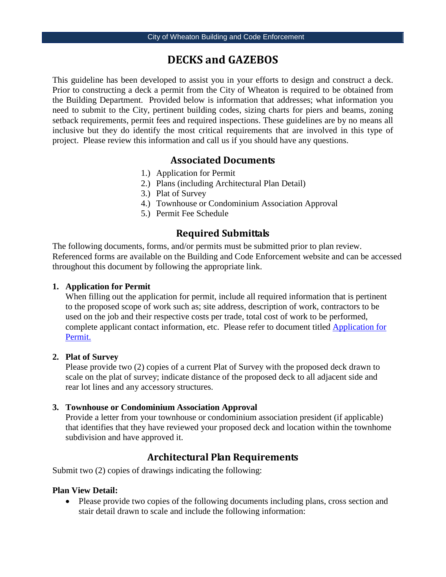# **DECKS and GAZEBOS**

This guideline has been developed to assist you in your efforts to design and construct a deck. Prior to constructing a deck a permit from the City of Wheaton is required to be obtained from the Building Department. Provided below is information that addresses; what information you need to submit to the City, pertinent building codes, sizing charts for piers and beams, zoning setback requirements, permit fees and required inspections. These guidelines are by no means all inclusive but they do identify the most critical requirements that are involved in this type of project. Please review this information and call us if you should have any questions.

#### **Associated Documents**

- 1.) [Application](http://www.wheaton.il.us/Service/Building-C/Permits/application-for-permit.pdf) for Permit
- 2.) Plans (including Architectural Plan Detail)
- 3.) Plat of Survey
- 4.) Townhouse or Condominium Association Approval
- 5.) Permit Fee Schedule

### **Required Submittals**

The following documents, forms, and/or permits must be submitted prior to plan review. Referenced forms are available on the Building and Code Enforcement website and can be accessed throughout this document by following the appropriate link.

#### **1. [Application](http://www.wheaton.il.us/Service/Building-C/Permits/application-for-permit.pdf) for Permit**

When filling out the application for permit, include all required information that is pertinent to the proposed scope of work such as; site address, description of work, contractors to be used on the job and their respective costs per trade, total cost of work to be performed, complete applicant contact information, etc. Please refer to document titled [Application for](http://www.wheaton.il.us/WorkArea/showcontent.aspx?id=1834)  [Permit.](http://www.wheaton.il.us/WorkArea/showcontent.aspx?id=1834)

#### **2. Plat of Survey**

Please provide two (2) copies of a current Plat of Survey with the proposed deck drawn to scale on the plat of survey; indicate distance of the proposed deck to all adjacent side and rear lot lines and any accessory structures.

#### **3. Townhouse or Condominium Association Approval**

Provide a letter from your townhouse or condominium association president (if applicable) that identifies that they have reviewed your proposed deck and location within the townhome subdivision and have approved it.

#### **Architectural Plan Requirements**

Submit two (2) copies of drawings indicating the following:

#### **Plan View Detail:**

• Please provide two copies of the following documents including plans, cross section and stair detail drawn to scale and include the following information: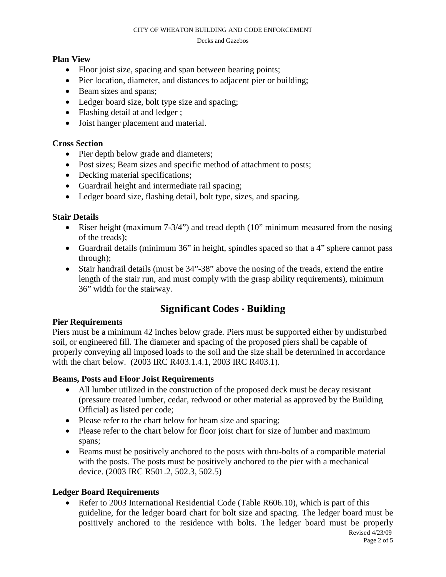#### **Plan View**

- Floor joist size, spacing and span between bearing points;
- Pier location, diameter, and distances to adjacent pier or building;
- Beam sizes and spans;
- Ledger board size, bolt type size and spacing;
- Flashing detail at and ledger;
- Joist hanger placement and material.

#### **Cross Section**

- Pier depth below grade and diameters;
- Post sizes; Beam sizes and specific method of attachment to posts;
- Decking material specifications;
- Guardrail height and intermediate rail spacing;
- Ledger board size, flashing detail, bolt type, sizes, and spacing.

#### **Stair Details**

- Riser height (maximum  $7-3/4$ ") and tread depth (10" minimum measured from the nosing of the treads);
- Guardrail details (minimum 36" in height, spindles spaced so that a 4" sphere cannot pass through);
- Stair handrail details (must be  $34$ "-38" above the nosing of the treads, extend the entire length of the stair run, and must comply with the grasp ability requirements), minimum 36" width for the stairway.

# **Significant Codes - Building**

#### **Pier Requirements**

Piers must be a minimum 42 inches below grade. Piers must be supported either by undisturbed soil, or engineered fill. The diameter and spacing of the proposed piers shall be capable of properly conveying all imposed loads to the soil and the size shall be determined in accordance with the chart below. (2003 IRC R403.1.4.1, 2003 IRC R403.1).

#### **Beams, Posts and Floor Joist Requirements**

- All lumber utilized in the construction of the proposed deck must be decay resistant (pressure treated lumber, cedar, redwood or other material as approved by the Building Official) as listed per code;
- Please refer to the chart below for beam size and spacing;
- Please refer to the chart below for floor joist chart for size of lumber and maximum spans;
- Beams must be positively anchored to the posts with thru-bolts of a compatible material with the posts. The posts must be positively anchored to the pier with a mechanical device. (2003 IRC R501.2, 502.3, 502.5)

#### **Ledger Board Requirements**

 Revised 4/23/09 • Refer to 2003 International Residential Code (Table R606.10), which is part of this guideline, for the ledger board chart for bolt size and spacing. The ledger board must be positively anchored to the residence with bolts. The ledger board must be properly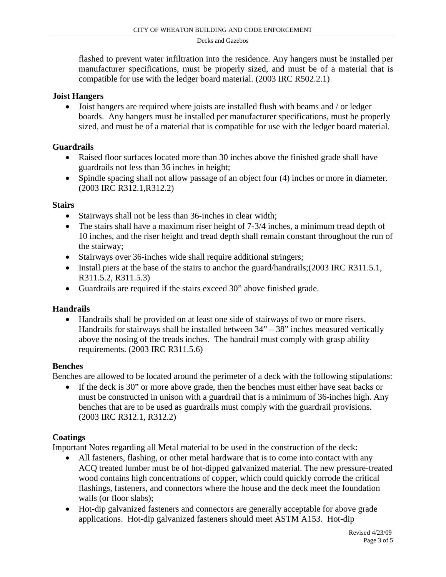flashed to prevent water infiltration into the residence. Any hangers must be installed per manufacturer specifications, must be properly sized, and must be of a material that is compatible for use with the ledger board material. (2003 IRC R502.2.1)

#### **Joist Hangers**

• Joist hangers are required where joists are installed flush with beams and / or ledger boards. Any hangers must be installed per manufacturer specifications, must be properly sized, and must be of a material that is compatible for use with the ledger board material.

#### **Guardrails**

- Raised floor surfaces located more than 30 inches above the finished grade shall have guardrails not less than 36 inches in height;
- Spindle spacing shall not allow passage of an object four (4) inches or more in diameter. (2003 IRC R312.1,R312.2)

#### **Stairs**

- Stairways shall not be less than 36-inches in clear width;
- The stairs shall have a maximum riser height of 7-3/4 inches, a minimum tread depth of 10 inches, and the riser height and tread depth shall remain constant throughout the run of the stairway;
- Stairways over 36-inches wide shall require additional stringers;
- Install piers at the base of the stairs to anchor the guard/handrails;(2003 IRC R311.5.1, R311.5.2, R311.5.3)
- Guardrails are required if the stairs exceed 30" above finished grade.

#### **Handrails**

• Handrails shall be provided on at least one side of stairways of two or more risers. Handrails for stairways shall be installed between  $34 - 38$ " inches measured vertically above the nosing of the treads inches. The handrail must comply with grasp ability requirements. (2003 IRC R311.5.6)

#### **Benches**

Benches are allowed to be located around the perimeter of a deck with the following stipulations:

• If the deck is 30" or more above grade, then the benches must either have seat backs or must be constructed in unison with a guardrail that is a minimum of 36-inches high. Any benches that are to be used as guardrails must comply with the guardrail provisions. (2003 IRC R312.1, R312.2)

#### **Coatings**

Important Notes regarding all Metal material to be used in the construction of the deck:

- All fasteners, flashing, or other metal hardware that is to come into contact with any ACQ treated lumber must be of hot-dipped galvanized material. The new pressure-treated wood contains high concentrations of copper, which could quickly corrode the critical flashings, fasteners, and connectors where the house and the deck meet the foundation walls (or floor slabs);
- Hot-dip galvanized fasteners and connectors are generally acceptable for above grade applications. Hot-dip galvanized fasteners should meet ASTM A153. Hot-dip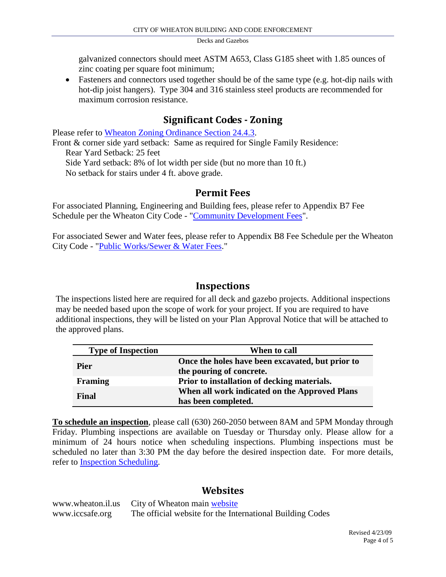galvanized connectors should meet ASTM A653, Class G185 sheet with 1.85 ounces of zinc coating per square foot minimum;

• Fasteners and connectors used together should be of the same type (e.g. hot-dip nails with hot-dip joist hangers). Type 304 and 316 stainless steel products are recommended for maximum corrosion resistance.

### **Significant Codes - Zoning**

Please refer to [Wheaton Zoning Ordinance Section 24.4.3.](http://www.wheaton.il.us/WorkArea/showcontent.aspx?id=2126)

Front & corner side yard setback: Same as required for Single Family Residence: Rear Yard Setback: 25 feet Side Yard setback: 8% of lot width per side (but no more than 10 ft.) No setback for stairs under 4 ft. above grade.

#### **Permit Fees**

For associated Planning, Engineering and Building fees, please refer to Appendix B7 Fee Schedule per the Wheaton City Code - ["Community Development Fees"](http://www.wheaton.il.us/custom/citycode/30000000.htm#b7).

For associated Sewer and Water fees, please refer to Appendix B8 Fee Schedule per the Wheaton City Code - ["Public Works/Sewer & Water Fees.](http://www.wheaton.il.us/custom/citycode/30000000.htm#b8)"

### **Inspections**

The inspections listed here are required for all deck and gazebo projects. Additional inspections may be needed based upon the scope of work for your project. If you are required to have additional inspections, they will be listed on your Plan Approval Notice that will be attached to the approved plans.

| <b>Type of Inspection</b> | When to call                                                                 |
|---------------------------|------------------------------------------------------------------------------|
| <b>Pier</b>               | Once the holes have been excavated, but prior to<br>the pouring of concrete. |
| Framing                   | Prior to installation of decking materials.                                  |
| Final                     | When all work indicated on the Approved Plans<br>has been completed.         |

**To schedule an inspection**, please call (630) 260-2050 between 8AM and 5PM Monday through Friday. Plumbing inspections are available on Tuesday or Thursday only. Please allow for a minimum of 24 hours notice when scheduling inspections. Plumbing inspections must be scheduled no later than 3:30 PM the day before the desired inspection date. For more details, refer to [Inspection Scheduling.](http://www.wheaton.il.us/departments/building/detail.aspx?id=2066)

### **Websites**

www.wheaton.il.us City of Wheaton main [website](http://www.wheaton.il.us/) www.iccsafe.org The official website for the International Building Codes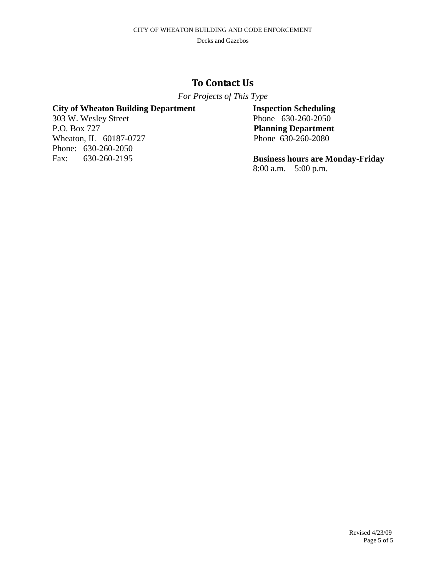### **To Contact Us**

*For Projects of This Type* 

#### **City of Wheaton Building Department**

303 W. Wesley Street P.O. Box 727 Wheaton, IL 60187-0727 Phone: 630-260-2050 Fax: 630-260-2195

**Inspection Scheduling** Phone 630-260-2050 **Planning Department** Phone 630-260-2080

**Business hours are Monday-Friday** 8:00 a.m. – 5:00 p.m.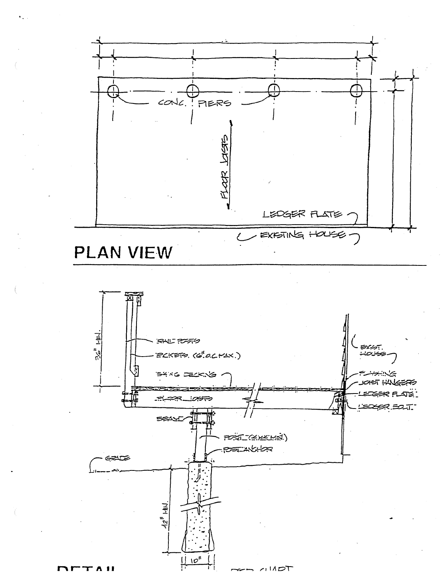



 $TTAI$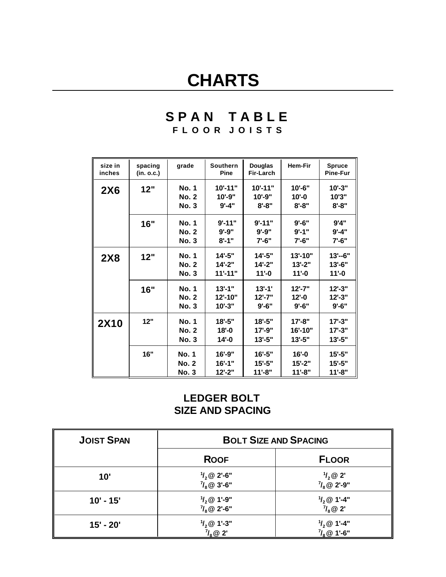# **CHARTS**

# **S P A N T A B L E F L O O R J O I S T S**

| size in<br>inches | spacing<br>(in. o.c.) | grade                                        | Southern<br>Pine                      | <b>Douglas</b><br>Fir-Larch            | <b>Hem-Fir</b>                       |                                     |
|-------------------|-----------------------|----------------------------------------------|---------------------------------------|----------------------------------------|--------------------------------------|-------------------------------------|
| <b>2X6</b>        | 12"                   | <b>No. 1</b><br><b>No. 2</b><br><b>No. 3</b> | 10'-11"<br>$10' - 9"$<br>$9' - 4''$   | 10'-11"<br>$10' - 9"$<br>$8 - 8"$      | 10'-6"<br>$10 - 0$<br>$8 - 8"$       | $10' - 3"$<br>10'3"<br>$8 - 8"$     |
|                   | 16"                   | No. 1<br><b>No. 2</b><br><b>No. 3</b>        | $9' - 11"$<br>$9' - 9''$<br>$8' - 1"$ | $9' - 11"$<br>$9' - 9''$<br>$7' - 6''$ | $9' - 6''$<br>$9' - 1"$<br>$7' - 6"$ | 9'4"<br>$9' - 4"$<br>$7' - 6''$     |
| <b>2X8</b>        | 12"                   | <b>No. 1</b><br><b>No. 2</b><br><b>No. 3</b> | 14'-5"<br>$14 - 2"$<br>$11' - 11"$    | 14'-5"<br>$14 - 2"$<br>$11 - 0$        | 13'-10"<br>$13 - 2"$<br>$11 - 0$     | $13' - 6"$<br>13'-6"<br>$11 - 0$    |
|                   | 16"                   | <b>No. 1</b><br><b>No. 2</b><br><b>No. 3</b> | $13' - 1$ "<br>12'-10"<br>$10' - 3"$  | $13' - 1'$<br>$12' - 7"$<br>$9' - 6"$  | $12' - 7"$<br>$12 - 0$<br>$9' - 6''$ | $12 - 3"$<br>$12 - 3"$<br>$9' - 6"$ |
| <b>2X10</b>       | 12"                   | <b>No. 1</b><br><b>No. 2</b><br><b>No. 3</b> | $18 - 5"$<br>$18 - 0$<br>$14 - 0$     | $18 - 5"$<br>17'-9"<br>13'-5"          | $17 - 8"$<br>16'-10"<br>13'-5"       | $17 - 3"$<br>$17 - 3"$<br>$13 - 5"$ |
|                   | 16"                   | No. 1<br><b>No. 2</b><br><b>No. 3</b>        | $16' - 9"$<br>$16' - 1"$<br>$12 - 2"$ | $16' - 5"$<br>$15 - 5"$<br>$11 - 8"$   | $16' - 0$<br>$15 - 2"$<br>$11'-8$ "  | $15 - 5"$<br>$15 - 5"$<br>$11 - 8"$ |

# **LEDGER BOLT SIZE AND SPACING**

| <b>JOIST SPAN</b> |                                                | <b>BOLT SIZE AND SPACING</b>                    |
|-------------------|------------------------------------------------|-------------------------------------------------|
|                   | <b>ROOF</b>                                    | <b>FLOOR</b>                                    |
| 10'               | $\frac{1}{2}$ @ 2'-6"<br>$\frac{7}{8}$ @ 3'-6" | $\frac{1}{2}$ @ 2'<br>$\frac{7}{8}$ @ 2'-9"     |
| $10' - 15'$       | $\frac{1}{2}$ @ 1'-9"<br>$\frac{7}{8}$ @ 2'-6" | $\frac{1}{2}$ @ 1'-4"<br>$\eta_s \otimes 2$     |
| 15' - 20'         | $\frac{1}{2}$ @ 1'-3"<br>$\eta_{\rm s}$ @ 2'   | $\frac{1}{2}$ (0 1'-4"<br>$\frac{7}{8}$ @ 1'-6" |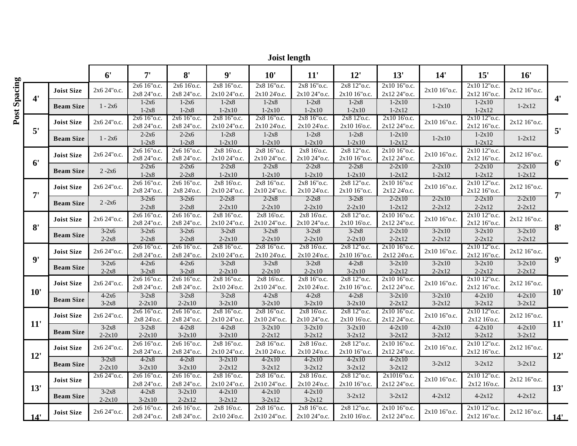|              | <b>Joist length</b> |                   |                       |                               |                              |                               |                               |                              |                             |                               |                          |                              |                          |                |
|--------------|---------------------|-------------------|-----------------------|-------------------------------|------------------------------|-------------------------------|-------------------------------|------------------------------|-----------------------------|-------------------------------|--------------------------|------------------------------|--------------------------|----------------|
|              |                     |                   | 6'                    | 7'                            | 8'                           | 9'                            | 10'                           | 11'                          | 12'                         | 13'                           | 14'                      | 15'                          | 16'                      |                |
|              |                     | <b>Joist Size</b> | 2x6 24" o.c.          | 2x6 16"o.c.<br>2x8 24" o.c.   | 2x6 16'o.c.<br>2x8 24" o.c.  | 2x8 16"o.c.<br>2x10 24" o.c.  | 2x8 16"o.c.<br>2x10 24'o.c.   | 2x8 16"o.c.<br>2x10 24" o.c. | 2x8 12"o.c.<br>2x10 16"o.c. | 2x10 16"o.c.<br>2x12 24" o.c. | 2x10 16"o.c.             | 2x10 12"o.c.<br>2x12 16"o.c. | 2x12 16"o.c.             |                |
| Post Spacing | $4^{\prime}$        | <b>Beam Size</b>  | $1 - 2x6$             | $1-2x6$<br>$1-2x8$            | $1-2x6$<br>$1-2x8$           | $1-2x8$<br>$1-2x10$           | $1-2x8$<br>$1 - 2x10$         | $1-2x8$<br>$1 - 2x10$        | $1-2x8$<br>$1-2x10$         | $1-2x10$<br>$1 - 2x12$        | $1-2x10$                 | $1-2x10$<br>$1 - 2x12$       | $1 - 2x12$               | $4^{\prime}$   |
|              |                     | <b>Joist Size</b> | 2x6 24" o.c.          | 2x6 16" o.c.<br>2x8 24" o.c.  | 2x6 16" o.c.<br>2x8 24" o.c. | 2x8 16" o.c.<br>2x10 24" o.c. | 2x8 16" o.c.<br>2x10 24'o.c.  | 2x8 16" o.c.<br>2x10 24'o.c. | 2x8 12'o.c.<br>2x10 16'o.c. | 2x10 16'o.c.<br>2x12 24" o.c. | 2x10 16"o.c.             | 2x10 12"o.c.<br>2x12 16"o.c. | 2x12 16"o.c.             |                |
|              | 5'                  | <b>Beam Size</b>  | $1 - 2x6$             | $2 - 2x6$<br>$1-2x8$          | $2 - 2x6$<br>$1-2x8$         | $1-2x8$<br>$1-2x10$           | $1-2x8$<br>$1-2x10$           | $1-2x8$<br>$1 - 2x10$        | $1-2x8$<br>$1-2x10$         | $1 - 2x10$<br>$1 - 2x12$      | $1-2x10$                 | $1-2x10$<br>$1 - 2x12$       | $1 - 2x12$               | 5'             |
|              |                     | <b>Joist Size</b> | 2x6 24" o.c.          | 2x6 16"o.c.<br>2x8 24" o.c.   | 2x6 16"o.c.<br>2x8 24" o.c.  | 2x8 16'o.c.<br>2x10 24" o.c.  | 2x8 16"o.c.<br>2x10 24" o.c.  | 2x8 16'o.c.<br>2x10 24" o.c. | 2x8 12"o.c.<br>2x10 16"o.c. | 2x10 16"o.c.<br>2x12 24" o.c. | 2x10 16"o.c.             | 2x10 12"o.c.<br>2x12 16"o.c. | 2x12 16"o.c.             |                |
|              | 6'                  | <b>Beam Size</b>  | $2 - 2x6$             | $2-2x6$<br>$1-2x8$            | $2 - 2x6$<br>$2 - 2x8$       | $2 - 2x8$<br>$1 - 2x10$       | $2 - 2x8$<br>$1-2x10$         | $2 - 2x8$<br>$1-2x10$        | $2 - 2x8$<br>$1-2x10$       | $2 - 2x10$<br>$1 - 2x12$      | $2 - 2x10$<br>$1 - 2x12$ | $2 - 2x10$<br>$1 - 2x12$     | $2 - 2x10$<br>$1 - 2x12$ | 6 <sup>'</sup> |
|              | 7'                  | <b>Joist Size</b> | 2x6 24" o.c.          | 2x6 16"o.c.<br>2x8 24" o.c.   | 2x6 16"o.c.<br>2x8 24'o.c.   | 2x8 16'o.c.<br>2x10 24" o.c.  | 2x8 16"o.c.<br>2x10 24" o.c.  | 2x8 16" o.c.<br>2x10 24'o.c. | 2x8 12"o.c.<br>2x10 16"o.c. | 2x10 16"o.c<br>2x12 24'o.c.   | 2x10 16"o.c.             | 2x10 12"o.c.<br>2x12 16"o.c. | 2x12 16"o.c.             | 7'             |
|              |                     | <b>Beam Size</b>  | $2 - 2x6$             | $3-2x6$<br>$2 - 2x8$          | $3-2x6$<br>$2 - 2x8$         | $2 - 2x8$<br>$2 - 2x10$       | $2 - 2x8$<br>$2 - 2x10$       | $2 - 2x8$<br>$2 - 2x10$      | $3-2x8$<br>$2 - 2x10$       | $2 - 2x10$<br>$1 - 2x12$      | $2 - 2x10$<br>$2 - 2x12$ | $2 - 2x10$<br>$2 - 2x12$     | $2 - 2x10$<br>$2 - 2x12$ |                |
|              | 8'                  | <b>Joist Size</b> | 2x6 24" o.c.          | 2x6 16" o.c.<br>2x8 24" o.c.  | 2x6 16" o.c.<br>2x8 24" o.c. | 2x8 16"o.c.<br>2x10 24" o.c.  | 2x8 16'o.c.<br>2x10 24" o.c.  | 2x8 16'o.c.<br>2x10 24" o.c. | 2x8 12"o.c.<br>2x10 16'o.c. | 2x10 16"o.c.<br>2x12 24" o.c. | 2x10 16"o.c.             | 2x10 12"o.c.<br>2x12 16"o.c. | 2x12 16"o.c.             | 8'             |
|              |                     | <b>Beam Size</b>  | $3-2x6$<br>$2 - 2x8$  | $3-2x6$<br>$2 - 2x8$          | $3-2x6$<br>$2 - 2x8$         | $3-2x8$<br>$2 - 2x10$         | $3-2x8$<br>$2 - 2x10$         | $3-2x8$<br>$2 - 2x10$        | $3-2x8$<br>$2 - 2x10$       | $2-2x10$<br>$2 - 2x12$        | $3-2x10$<br>$2 - 2x12$   | $3-2x10$<br>$2 - 2x12$       | $3-2x10$<br>$2 - 2x12$   |                |
|              |                     | <b>Joist Size</b> | 2x6 24" o.c.          | 2x6 16" o.c.<br>2x8 24" o.c.  | 2x6 16"o.c.<br>2x8 24" o.c.  | 2x8 16"o.c.<br>2x10 24" o.c.  | 2x8 16"o.c.<br>2x10 24'o.c.   | 2x8 16'o.c.<br>2x10 24'o.c.  | 2x8 12"o.c.<br>2x10 16"o.c. | 2x10 16"o.c.<br>2x12 24'o.c.  | 2x10 16"o.c.             | 2x10 12"o.c.<br>2x12 16"o.c. | 2x12 16"o.c.             |                |
|              | $\mathbf{Q}$        | <b>Beam Size</b>  | $3-2x6$<br>$2 - 2x8$  | $4-2x6$<br>$3-2x8$            | $4-2x6$<br>$3-2x8$           | $3-2x8$<br>$2 - 2x10$         | $3-2x8$<br>$2 - 2x10$         | $3-2x8$<br>$2 - 2x10$        | $4-2x8$<br>$3-2x10$         | $3-2x10$<br>$2 - 2x12$        | $3-2x10$<br>$2 - 2x12$   | $3-2x10$<br>$2 - 2x12$       | $3-2x10$<br>$2 - 2x12$   | 9'             |
|              |                     | <b>Joist Size</b> | 2x6 24" o.c.          | $2x616"$ o.c.<br>2x8 24" o.c. | 2x6 16"o.c.<br>2x8 24" o.c.  | 2x8 16"o.c.<br>2x10 24'o.c.   | 2x8 16'o.c.<br>2x10 24" o.c.  | 2x8 16"o.c.<br>2x10 24'o.c.  | 2x8 12"o.c.<br>2x10 16"o.c. | 2x10 16"o.c.<br>2x12 24" o.c. | 2x10 16"o.c.             | 2x10 12"o.c.<br>2x12 16"o.c. | 2x12 16" o.c.            |                |
|              | 10'                 | <b>Beam Size</b>  | $4-2x6$<br>$3-2x8$    | $3-2x8$<br>$2 - 2x10$         | $3-2x8$<br>$2 - 2x10$        | $3-2x8$<br>$3-2x10$           | $4-2x8$<br>$3-2x10$           | $4-2x8$<br>$3-2x10$          | $4-2x8$<br>$3-2x10$         | $3-2x10$<br>$2 - 2x12$        | $3-2x10$<br>$3 - 2x12$   | $4 - 2x10$<br>$3-2x12$       | $4 - 2x10$<br>$3-2x12$   | 10'            |
|              |                     | <b>Joist Size</b> | 2x6 24" o.c.          | 2x6 16" o.c.<br>2x8 24'o.c.   | 2x6 16" o.c.<br>2x8 24" o.c. | 2x8 16"o.c.<br>2x10 24" o.c.  | 2x8 16" o.c.<br>2x10 24" o.c. | 2x8 16'o.c.<br>2x10 24"o.c.  | 2x8 12"o.c.<br>2x10 16'o.c. | 2x10 16"o.c.<br>2x12 24" o.c. | 2x10 16"o.c.             | 2x10 12"o.c.<br>2x12 16'o.c. | 2x12 16"o.c.             |                |
|              | 11'                 | <b>Beam Size</b>  | $3-2x8$<br>$2 - 2x10$ | $3-2x8$<br>$2 - 2x10$         | $4-2x8$<br>$3 - 2x10$        | $4-2x8$<br>$3 - 2x10$         | $3-2x10$<br>$2 - 2x12$        | $3-2x10$<br>$3 - 2x12$       | $3-2x10$<br>$3 - 2x12$      | $4 - 2x10$<br>$3 - 2x12$      | $4 - 2x10$<br>$3 - 2x12$ | $4 - 2x10$<br>$3 - 2x12$     | $4 - 2x10$<br>$3 - 2x12$ | 11'            |
|              |                     | Joist Size        | 2x6 24" o.c.          | 2x6 16"o.c.<br>2x8 24" o.c.   | 2x6 16"o.c.<br>2x8 24" o.c.  | 2x8 16"o.c.<br>2x10 24" o.c.  | 2x8 16"o.c.<br>2x10 24'o.c.   | 2x8 16'o.c.<br>2x10 24'o.c.  | 2x8 12"o.c.<br>2x10 16"o.c. | 2x10 16"o.c.<br>2x12 24" o.c. | 2x10 16"o.c.             | 2x10 12"o.c.<br>2x12 16"o.c. | 2x12 16"o.c.             |                |
|              | 12'                 | <b>Beam Size</b>  | $3-2x8$<br>$2 - 2x10$ | $4-2x8$<br>$3 - 2x10$         | $4-2x8$<br>$3 - 2x10$        | $3-2x10$<br>$2 - 2x12$        | $4 - 2x10$<br>$3 - 2x12$      | $4 - 2x10$<br>$3 - 2x12$     | $4 - 2x10$<br>$3-2x12$      | $4 - 2x10$<br>$3 - 2x12$      | $3-2x12$                 | $3-2x12$                     | $3-2x12$                 | 12'            |
|              |                     | <b>Joist Size</b> | 2x6 24" o.c.          | 2x6 16" o.c.<br>2x8 24"o.c.   | 2x6 16" o.c.<br>2x8 24" o.c. | 2x8 16"o.c.<br>2x10 24" o.c.  | 2x8 16" o.c.<br>2x10 24" o.c. | 2x8 16'o.c.<br>2x10 24'o.c.  | 2x8 12"o.c.<br>2x10 16"o.c. | 2x1016"o.c.<br>2x12 24" o.c.  | 2x10 16"o.c.             | 2x10 12"o.c.<br>2x12 16'o.c. | 2x12 16"o.c.             |                |
|              | 13'                 | <b>Beam Size</b>  | $3-2x8$<br>$2 - 2x10$ | $4-2x8$<br>$3-2x10$           | $3-2x10$<br>$2 - 2x12$       | $4 - 2x10$<br>$3 - 2x12$      | $4 - 2x10$<br>$3 - 2x12$      | $4-2x10$<br>$3-2x12$         | $3 - 2x12$                  | $3 - 2x12$                    | $4 - 2x12$               | $4 - 2x12$                   | $4 - 2x12$               | 13'            |
|              | 14'                 | Joist Size        | 2x6 24" o.c.          | 2x6 16"o.c.<br>2x8 24"o.c.    | 2x6 16"o.c.<br>2x8 24" o.c.  | 2x8 16'o.c.<br>2x10 24'o.c.   | 2x8 16"o.c.<br>2x10 24" o.c.  | 2x8 16"o.c.<br>2x10 24" o.c. | 2x8 12"o.c.<br>2x10 16'o.c. | 2x10 16"o.c.<br>2x12 24" o.c. | 2x10 16"o.c.             | 2x10 12"o.c.<br>2x12 16"o.c. | 2x12 16" o.c.            | 14'            |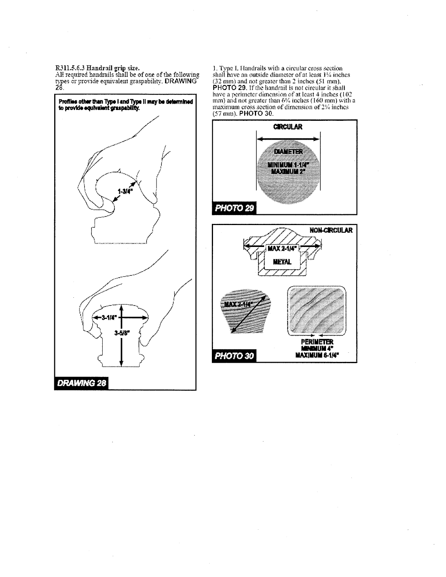R311.5.6.3 Handrail grip size.<br>All required handrails shall be of one of the following<br>types or provide equivalent graspability. DRAWING<br>28.



1. Type I. Handrails with a circular cross section<br>shall have an outside diameter of at least  $1\%$  inches<br> $(32 \text{ mm})$  and not greater than 2 inches  $(51 \text{ mm})$ .<br>PHOTO 29. If the handrail is not circular it shall Find a perimeter dimension of at least 4 inches  $(102 \text{ mm})$  and not greater than 6% inches  $(160 \text{ mm})$  with a maximum cross section of dimension of 2% inches  $(57 \text{ mm})$ . **PHOTO 30.** 



**PHOTO 30** 

PERIMETER<br>MENDIUM 4"<br>MAXIMUM 8-1/4"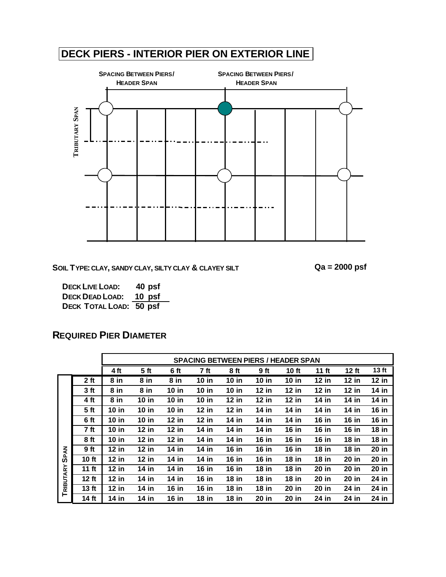# **DECK PIERS - INTERIOR PIER ON EXTERIOR LINE**



**SOIL TYPE: CLAY, SANDY CLAY, SILTY CLAY & CLAYEY SILT Qa = 2000 psf**

**DECK LIVE LOAD: 40 psf DECK DEAD LOAD: 10 psf DECK TOTAL LOAD: 50 psf**

|             |                 |         |                 |              |              |              |              |              |              |              | <b>SPACING BETWEEN PIERS / HEADER SPAN</b> |  |  |  |  |  |  |  |  |  |  |  |  |
|-------------|-----------------|---------|-----------------|--------------|--------------|--------------|--------------|--------------|--------------|--------------|--------------------------------------------|--|--|--|--|--|--|--|--|--|--|--|--|
|             |                 | 4 ft    | 5 <sub>ft</sub> | 6 ft         | 7 ft         | 8 ft         | 9 ft         | 10 ft        | 11 $ft$      | $12$ ft      | 13 ft                                      |  |  |  |  |  |  |  |  |  |  |  |  |
|             | 2 <sub>ft</sub> | 8 in    | 8 in            | 8 in         | $10$ in      | <b>10 in</b> | $10$ in      | $10$ in      | <b>12 in</b> | $12$ in      | $12$ in                                    |  |  |  |  |  |  |  |  |  |  |  |  |
|             | 3 ft            | 8 in    | 8 in            | <b>10 in</b> | $10$ in      | <b>10 in</b> | $12$ in      | $12$ in      | $12$ in      | $12$ in      | $14$ in                                    |  |  |  |  |  |  |  |  |  |  |  |  |
|             | 4 ft            | 8 in    | $10$ in         | <b>10 in</b> | $10$ in      | 12 in        | $12$ in      | $12$ in      | 14 in        | 14 in        | $14$ in                                    |  |  |  |  |  |  |  |  |  |  |  |  |
|             | 5 <sub>ft</sub> | $10$ in | $10$ in         | <b>10 in</b> | $12$ in      | $12$ in      | 14 in        | 14 in        | 14 in        | 14 in        | <b>16 in</b>                               |  |  |  |  |  |  |  |  |  |  |  |  |
|             | 6 ft            | $10$ in | 10 $in$         | $12$ in      | $12$ in      | 14 in        | $14$ in      | 14 in        | <b>16 in</b> | <b>16 in</b> | <b>16 in</b>                               |  |  |  |  |  |  |  |  |  |  |  |  |
|             | 7 ft            | $10$ in | $12$ in         | <b>12 in</b> | 14 in        | 14 in        | $14$ in      | <b>16 in</b> | <b>16 in</b> | <b>16 in</b> | $18$ in                                    |  |  |  |  |  |  |  |  |  |  |  |  |
|             | 8 ft            | $10$ in | $12$ in         | $12$ in      | 14 in        | 14 in        | <b>16 in</b> | $16$ in      | <b>16 in</b> | <b>18 in</b> | $18$ in                                    |  |  |  |  |  |  |  |  |  |  |  |  |
|             | <b>9ft</b>      | 12 in   | $12$ in         | 14 in        | 14 in        | <b>16 in</b> | <b>16 in</b> | <b>16 in</b> | <b>18 in</b> | <b>18 in</b> | 20 in                                      |  |  |  |  |  |  |  |  |  |  |  |  |
| <b>SPAN</b> | 10 ft           | $12$ in | $12$ in         | 14 in        | 14 in        | $16$ in      | <b>16 in</b> | $18$ in      | $18$ in      | 20 in        | 20 in                                      |  |  |  |  |  |  |  |  |  |  |  |  |
|             | 11 $ft$         | $12$ in | $14$ in         | 14 in        | $16$ in      | <b>16 in</b> | <b>18 in</b> | $18$ in      | 20 in        | 20 in        | 20 in                                      |  |  |  |  |  |  |  |  |  |  |  |  |
| TRIBUTARY   | 12 ft           | $12$ in | 14 in           | 14 in        | <b>16 in</b> | $18$ in      | $18$ in      | $18$ in      | 20 in        | 20 in        | 24 in                                      |  |  |  |  |  |  |  |  |  |  |  |  |
|             | $13$ ft         | $12$ in | $14$ in         | <b>16 in</b> | <b>16 in</b> | <b>18 in</b> | <b>18 in</b> | 20 in        | 20 in        | 24 in        | 24 in                                      |  |  |  |  |  |  |  |  |  |  |  |  |
|             | 14 ft           | 14 in   | 14 in           | 16 in        | <b>18 in</b> | <b>18 in</b> | 20 in        | 20 in        | 24 in        | 24 in        | 24 in                                      |  |  |  |  |  |  |  |  |  |  |  |  |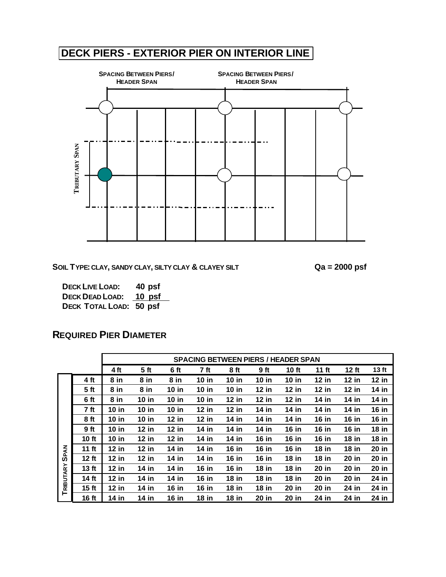# **DECK PIERS - EXTERIOR PIER ON INTERIOR LINE**



**SOIL TYPE: CLAY, SANDY CLAY, SILTY CLAY & CLAYEY SILT Qa = 2000 psf**

**DECK LIVE LOAD: 40 psf DECK DEAD LOAD: 10 psf DECK TOTAL LOAD: 50 psf**

|             |                  |              |                 |              |              |              | <b>SPACING BETWEEN PIERS / HEADER SPAN</b> |              |              |              |                  |
|-------------|------------------|--------------|-----------------|--------------|--------------|--------------|--------------------------------------------|--------------|--------------|--------------|------------------|
|             |                  | 4 ft         | 5 <sub>ft</sub> | 6 ft         | 7 ft         | 8 ft         | 9 ft                                       | 10 ft        | 11 $ft$      | 12 ft        | 13 <sub>ft</sub> |
|             | 4 ft             | 8 in         | 8 in            | 8 in         | $10$ in      | $10$ in      | $10$ in                                    | $10$ in      | $12$ in      | $12$ in      | $12$ in          |
|             | 5 <sub>ft</sub>  | 8 in         | 8 in            | $10$ in      | <b>10 in</b> | $10$ in      | $12$ in                                    | $12$ in      | <b>12 in</b> | $12$ in      | 14 in            |
|             | 6 ft             | 8 in         | $10$ in         | $10$ in      | $10$ in      | $12$ in      | $12$ in                                    | $12$ in      | 14 in        | 14 in        | 14 in            |
|             | 7 ft             | <b>10 in</b> | <b>10 in</b>    | <b>10 in</b> | <b>12 in</b> | <b>12 in</b> | 14 in                                      | 14 in        | $14$ in      | 14 in        | <b>16 in</b>     |
|             | 8 ft             | $10$ in      | <b>10 in</b>    | $12$ in      | $12$ in      | 14 in        | 14 in                                      | 14 in        | <b>16 in</b> | <b>16 in</b> | <b>16 in</b>     |
|             | 9 ft             | $10$ in      | $12$ in         | $12$ in      | 14 in        | $14$ in      | 14 in                                      | <b>16 in</b> | <b>16 in</b> | <b>16 in</b> | <b>18 in</b>     |
|             | 10 ft            | $10$ in      | $12$ in         | $12$ in      | 14 in        | $14$ in      | <b>16 in</b>                               | <b>16 in</b> | <b>16 in</b> | $18$ in      | <b>18 in</b>     |
| <b>SPAN</b> | 11 $ft$          | $12$ in      | $12$ in         | 14 in        | 14 in        | <b>16 in</b> | <b>16 in</b>                               | $16$ in      | <b>18 in</b> | $18$ in      | 20 in            |
|             | 12 ft            | $12$ in      | $12$ in         | 14 in        | 14 in        | <b>16 in</b> | <b>16 in</b>                               | <b>18 in</b> | $18$ in      | <b>20 in</b> | 20 in            |
| TRIBUTARY   | 13 <sub>ft</sub> | $12$ in      | 14 in           | 14 in        | <b>16 in</b> | <b>16 in</b> | <b>18 in</b>                               | <b>18 in</b> | 20 in        | <b>20 in</b> | 20 in            |
|             | 14 ft            | $12$ in      | 14 in           | 14 in        | 16 in        | $18$ in      | $18$ in                                    | $18$ in      | 20 in        | 20 in        | 24 in            |
|             | 15 <sub>ft</sub> | $12$ in      | 14 in           | <b>16 in</b> | <b>16 in</b> | $18$ in      | $18$ in                                    | 20 in        | 20 in        | 24 in        | 24 in            |
|             | 16 ft            | 14 in        | 14 in           | <b>16 in</b> | <b>18 in</b> | <b>18 in</b> | 20 in                                      | 20 in        | 24 in        | 24 in        | 24 in            |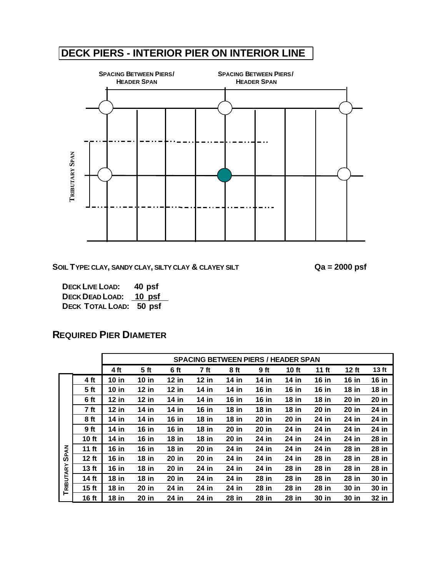# **DECK PIERS - INTERIOR PIER ON INTERIOR LINE**



**SOIL TYPE: CLAY, SANDY CLAY, SILTY CLAY & CLAYEY SILT Qa = 2000 psf**

**DECK LIVE LOAD: 40 psf DECK DEAD LOAD: 10 psf DECK TOTAL LOAD: 50 psf**

|             |                  |              |                 |              |              |              | <b>SPACING BETWEEN PIERS / HEADER SPAN</b> |              |              |              |                  |
|-------------|------------------|--------------|-----------------|--------------|--------------|--------------|--------------------------------------------|--------------|--------------|--------------|------------------|
|             |                  | 4 ft         | 5 <sub>ft</sub> | 6 ft         | 7 ft         | 8 ft         | 9ft                                        | <b>10 ft</b> | 11 $ft$      | $12$ ft      | 13 <sub>ft</sub> |
|             | 4 ft             | $10$ in      | $10$ in         | $12$ in      | $12$ in      | 14 in        | 14 in                                      | 14 in        | <b>16 in</b> | 16 in        | <b>16 in</b>     |
|             | 5 <sub>ft</sub>  | $10$ in      | $12$ in         | $12$ in      | 14 in        | 14 in        | <b>16 in</b>                               | <b>16 in</b> | <b>16 in</b> | <b>18 in</b> | <b>18 in</b>     |
|             | 6 ft             | $12$ in      | $12$ in         | 14 in        | 14 $in$      | <b>16 in</b> | <b>16 in</b>                               | $18$ in      | $18$ in      | 20 in        | 20 in            |
|             | 7 ft             | <b>12 in</b> | 14 in           | 14 in        | <b>16 in</b> | <b>18 in</b> | <b>18 in</b>                               | <b>18 in</b> | 20 in        | 20 in        | 24 in            |
|             | 8 ft             | 14 in        | 14 in           | 16 $in$      | $18$ in      | <b>18 in</b> | 20 in                                      | 20 in        | 24 in        | 24 in        | 24 in            |
|             | 9 ft             | 14 in        | <b>16 in</b>    | <b>16 in</b> | <b>18 in</b> | 20 in        | 20 in                                      | 24 in        | 24 in        | 24 in        | 24 in            |
|             | 10 ft            | 14 in        | <b>16 in</b>    | $18$ in      | 18 in        | 20 in        | 24 in                                      | 24 in        | 24 in        | 24 in        | 28 in            |
| <b>SPAN</b> | 11 $ft$          | <b>16 in</b> | <b>16 in</b>    | <b>18 in</b> | 20 in        | 24 in        | 24 in                                      | 24 in        | 24 in        | 28 in        | 28 in            |
|             | $12$ ft          | <b>16 in</b> | <b>18 in</b>    | 20 in        | 20 in        | 24 in        | 24 in                                      | 24 in        | 28 in        | 28 in        | 28 in            |
|             | 13 <sub>ft</sub> | <b>16 in</b> | <b>18 in</b>    | 20 in        | 24 in        | 24 in        | 24 in                                      | 28 in        | 28 in        | 28 in        | 28 in            |
|             | 14 ft            | $18$ in      | $18$ in         | 20 in        | 24 in        | 24 in        | 28 in                                      | 28 in        | 28 in        | 28 in        | 30 in            |
| TRIBUTARY   | 15 <sub>ft</sub> | <b>18 in</b> | 20 in           | 24 in        | 24 in        | 24 in        | 28 in                                      | 28 in        | 28 in        | 30 in        | 30 in            |
|             | 16 ft            | <b>18 in</b> | 20 in           | 24 in        | 24 in        | 28 in        | 28 in                                      | 28 in        | 30 in        | 30 in        | 32 in            |